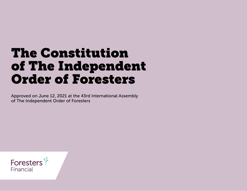# The Constitution of The Independent Order of Foresters

Approved on June 12, 2021 at the 43rd International Assembly of The Independent Order of Foresters

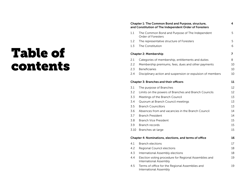# Table of contents

#### Chapter 1: The Common Bond and Purpose, structure, [and Constitution of The Independent Order of Foresters](#page-3-0)

| 1.1                          | The Common Bond and Purpose of The Independent<br>Order of Foresters | 5  |
|------------------------------|----------------------------------------------------------------------|----|
| 1.2                          | The representative structure of Foresters                            | 5  |
| 1.3                          | The Constitution                                                     | 6  |
| <b>Chapter 2: Membership</b> |                                                                      |    |
| 2.1                          | Categories of membership, entitlements and duties                    | 8  |
| 2.2                          | Membership premiums, fees, dues and other payments                   | 10 |
|                              |                                                                      |    |

4

[2.4 Disciplinary action and suspension or expulsion of members 10](#page-9-2)

#### [Chapter 3: Branches and their officers 11](#page-10-0)

| 3.1  | The purpose of Branches                                                         | 12 |
|------|---------------------------------------------------------------------------------|----|
| 3.2  | Limits on the powers of Branches and Branch Councils                            | 12 |
| 3.3  | Meetings of the Branch Council                                                  | 13 |
| 3.4  | Quorum at Branch Council meetings                                               | 13 |
| 3.5  | <b>Branch Councillors</b>                                                       | 13 |
| 3.6  | Absences from and vacancies in the Branch Council                               | 14 |
| 3.7  | <b>Branch President</b>                                                         | 14 |
| 3.8  | Branch Vice President                                                           | 15 |
| 3.9  | Branch records                                                                  | 15 |
| 3.10 | Branches-at-large                                                               | 15 |
|      | <b>Chapter 4: Nominations, elections, and terms of office</b>                   | 16 |
| 4.1  | <b>Branch elections</b>                                                         | 17 |
| 4.2  | Regional Council elections                                                      | 18 |
| 4.3  | International Assembly elections                                                | 18 |
| 4.4  | Election voting procedure for Regional Assemblies and<br>International Assembly | 19 |
| 4.5  | Terms of office for the Regional Assemblies and<br>International Assembly       | 19 |
|      |                                                                                 |    |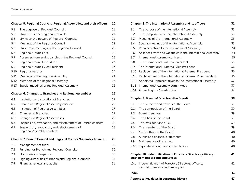# [Chapter 5: Regional Councils, Regional Assemblies, and their officers 20](#page-19-0)

| 5.1  | The purpose of Regional Councils                                           | 21 |
|------|----------------------------------------------------------------------------|----|
| 5.2  | Structure of the Regional Councils                                         | 21 |
| 5.3  | Limits on the powers of Regional Councils                                  | 21 |
| 5.4  | Meetings of the Regional Council                                           | 22 |
| 5.5  | Quorum at meetings of the Regional Council                                 | 22 |
| 5.6  | <b>Regional Councillors</b>                                                | 22 |
| 5.7  | Absences from and vacancies in the Regional Council                        | 23 |
| 5.8  | Regional Council President                                                 | 23 |
| 5.9  | Regional Council Vice President                                            | 23 |
| 5.10 | Regional records                                                           | 24 |
| 5.11 | Meetings of the Regional Assembly                                          | 24 |
| 5.12 | Members of the Regional Assembly                                           | 25 |
| 5.13 | Special meetings of the Regional Assembly                                  | 25 |
|      | <b>Chapter 6: Changes to Branches and Regional Assemblies</b>              | 26 |
| 6.1  | Institution or dissolution of Branches                                     | 27 |
| 6.2  | Branch and Regional Assembly charters                                      | 27 |
| 6.3  | Institution of Regional Assemblies                                         | 27 |
| 6.4  | Changes to Branches                                                        | 27 |
| 6.5  | Changes to Regional Assemblies                                             | 27 |
| 6.6  | Suspension, revocation, and reinstatement of Branch charters               | 28 |
| 6.7  |                                                                            |    |
|      | Suspension, revocation, and reinstatement of<br>Regional Assembly charters | 28 |
|      | <b>Chapter 7: Branch Council and Regional Council/Assembly finances</b>    | 29 |
| 7.1  | Management of funds                                                        | 30 |
| 7.2  | <b>Funding for Branch and Regional Councils</b>                            | 30 |
| 7.3  | Honoraria and expenses                                                     | 30 |
| 7.4  | Signing authorities of Branch and Regional Councils                        | 31 |

|       | Chapter 8: The International Assembly and its officers                                         | 32 |
|-------|------------------------------------------------------------------------------------------------|----|
| 8.1   | The purpose of the International Assembly                                                      | 33 |
| 8.2   | The composition of the International Assembly                                                  | 33 |
| 8.3   | Meetings of the International Assembly                                                         | 33 |
| 8.4   | Special meetings of the International Assembly                                                 | 33 |
| 8.5   | Representatives to the International Assembly                                                  | 34 |
| 8.6   | Absences from and vacancies in the International Assembly                                      | 34 |
| 8.7   | International Assembly officers                                                                | 35 |
| 8.8   | The International Fraternal President                                                          | 35 |
| 8.9   | The International Fraternal Vice President                                                     | 36 |
| 8.10  | Replacement of the International Fraternal President                                           | 36 |
| 8.11  | Replacement of the International Fraternal Vice President                                      | 36 |
| 8.12  | Appointed Representatives to the International Assembly                                        | 37 |
| 8.13  | International Assembly committees                                                              | 37 |
| 8.14  | Amending the Constitution                                                                      | 37 |
|       | <b>Chapter 9: Board of Directors (the Board)</b>                                               | 38 |
| 9.1   | The purpose and powers of the Board                                                            | 39 |
| 9.2   | The composition of the Board                                                                   | 39 |
| 9.3   | Board meetings                                                                                 | 39 |
|       | The Chair of the Board                                                                         |    |
| 9.4   |                                                                                                | 39 |
| 9.5   | The President and CEO                                                                          | 39 |
| 9.6   | The members of the Board                                                                       | 39 |
| 9.7   | Committees of the Board                                                                        | 40 |
| 9.8   | Audits and financial statements                                                                | 40 |
| 9.9   | Maintenance of reserves                                                                        | 40 |
| 9.10  | Separate account and closed blocks                                                             | 40 |
|       | Chapter 10: Indemnification of Foresters Directors, officers,<br>elected members and employees | 41 |
| 10.1  | Indemnification of Foresters Directors, officers,<br>elected members and employees             | 42 |
| Index |                                                                                                | 43 |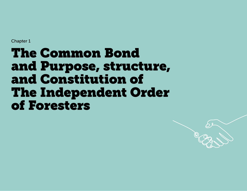# <span id="page-3-0"></span>The Common Bond and Purpose, structure, and Constitution of The Independent Order of Foresters

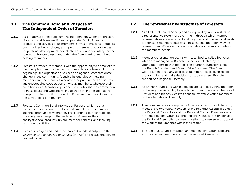## <span id="page-4-0"></span>1.1 The Common Bond and Purpose of The Independent Order of Foresters

- 1.1.1 As a Fraternal Benefit Society, The Independent Order of Foresters (Foresters and Foresters Financial) provides family financial products and services to its members; strives to make its members' communities better places; and gives its members opportunities for personal development, social interaction, and voluntary service to others. Foresters operates within the framework of members helping members.
- 1.1.2 Foresters provides its members with the opportunity to demonstrate the principles of mutual help and community volunteering. From its beginnings, the organization has been an agent of compassionate change in the community, focusing its energies on helping members and their families whenever they are in need or distress, and encouraging cooperation among all members, whatever their condition in life. Membership is open to all who share a commitment to these ideals and who are willing to share their time and talents to support others, both those within Foresters membership and in the surrounding community.
- 1.1.3 Foresters Common Bond informs our Purpose, which is that Foresters exists to enrich the lives of its members, their families, and the communities where they live. Honoring our rich tradition of caring, we champion the well-being of families through quality financial products, unique member benefits, and inspiring community activities.
- 1.1.4 Foresters is organized under the laws of Canada, is subject to the *Insurance Companies Act of Canada* (the Act) and has all the powers granted by law.

## <span id="page-4-1"></span>1.2 The representative structure of Foresters

- **1.2.1** As a Fraternal Benefit Society and as required by law, Foresters has a representative system of government, through which member representatives are elected at local, regional, and international levels to represent members' interests. These elected members may be referred to as officers and are accountable for decisions made on the members' behalf.
- 1.2.2 Member representation begins with local bodies called Branches, which are managed by Branch Councillors elected by the voting members of that Branch. The Branch Councillors elect the Branch President and Branch Vice President. The Branch Councils meet regularly to discuss members' needs, oversee local programming, and make decisions on local matters. Branches are part of a Regional Assembly.
- **1.2.3** All Branch Councillors within a region are ex officio voting members of the Regional Assembly to which their Branch belongs. The Branch President and Branch Vice President are ex officio voting members of the International Assembly.
- 1.2.4 A Regional Assembly composed of the Branches within its territory meets every two years. Members of the Regional Assemblies elect the Regional Councillors and the Regional Council Presidents who form the Regional Councils. The Regional Councils act on behalf of the Regional Assemblies between meetings to oversee and support the work of the Branches within their region.
- 1.2.5 The Regional Council President and the Regional Councillors are ex officio voting members of the International Assembly.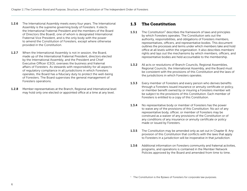- 1.2.6 The International Assembly meets every four years. The International Assembly is the supreme governing body of Foresters. It elects the International Fraternal President and the members of the Board of Directors (the Board), one of whom is designated International Fraternal Vice President, and is the only body with the power to amend the Constitution of Foresters, except where otherwise provided in the Constitution.
- **1.2.7** When the International Assembly is not in session, the Board, made up of the International Fraternal President, directors elected by the International Assembly, and the President and Chief Executive Officer (CEO), oversees the business and fraternal affairs of Foresters. As stewards with responsibility for all aspects of regulatory compliance in all jurisdictions in which Foresters operates, the Board has a fiduciary duty to protect the well-being of Foresters. The Board supervises the general management of Foresters operations.
- 1.2.8 Member representatives at the Branch, Regional and International level may hold only one elected or appointed office at a time at any level.

## <span id="page-5-0"></span>1.3 The Constitution

- **1.3.1** The Constitution<sup>1</sup> describes the framework of laws and principles by which Foresters operates. The Constitution sets out the authority, responsibilities, and obligations of Foresters members, representatives, officers, and representative bodies. This document outlines the processes and terms under which members take and hold office at all levels within the organization. It also describes members' rights and lays out the mechanisms by which members, officers, and representative bodies are held accountable to the membership.
- 1.3.2 All acts or resolutions of Branch Councils, Regional Assemblies, Regional Councils, the International Assembly, and the Board must be consistent with the provisions of this Constitution and the laws of the jurisdictions in which Foresters operates.
- **1.3.3** Every member of Foresters and every person who derives benefits through a Foresters issued insurance or annuity certificate or policy, or member benefit owned by or insuring a Foresters member will be subject to the provisions of this Constitution. Each member of Foresters is entitled to a copy of this Constitution.
- 1.3.4 No representative body or member of Foresters has the power to waive any of the provisions of this Constitution. No act of any representative body, officer, or member of Foresters may be construed as a waiver of any provisions of the Constitution or of any conditions of any insurance or annuity certificate or policy made or issued by Foresters.
- **1.3.5** The Constitution may be amended only as set out in Chapter 8. Any provision of this Constitution that conflicts with the laws that apply to Foresters in a jurisdiction will be inoperative in that jurisdiction.
- 1.3.6 Additional information on Foresters community and fraternal activities, programs, and operations is contained in the Member Network Policies approved by the Board and amended from time to time.

 $1$  The Constitution is the Bylaws of Foresters for corporate law purposes.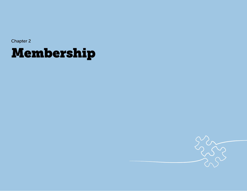# <span id="page-6-0"></span>Membership

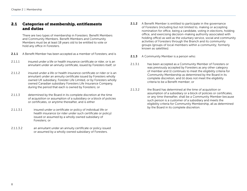## <span id="page-7-0"></span>2.1 Categories of membership, entitlements and duties

 There are two types of membership in Foresters: Benefit Members and Community Members. Benefit Members and Community Members must be at least 18 years old to be entitled to vote or hold any office in Foresters.

- **2.1.1** A Benefit Member has been accepted as a member of Foresters; and is
- 2.1.1.1 insured under a life or health insurance certificate or rider, or is an annuitant under an annuity certificate, issued by Foresters itself; or
- 2.1.1.2 insured under a life or health insurance certificate or rider or is an annuitant under an annuity certificate issued by Foresters wholly owned UK subsidiary, Forester Life Limited, or by Foresters wholly owned Canadian subsidiary Foresters Life Insurance Company, during the period that each is owned by Foresters; or
- 2.1.1.3 determined by the Board in its complete discretion at the time of acquisition or assumption of a subsidiary or a block of policies or certificates, or anytime thereafter, and is either
- 2.1.1.3.1 insured under a certificate or policy of individual life or health insurance (or rider under such certificate or policy) issued or assumed by a wholly owned subsidiary of Foresters; or
- 2.1.1.3.2 an annuitant under an annuity certificate or policy issued or assumed by a wholly owned subsidiary of Foresters.
- **2.1.2** A Benefit Member is entitled to participate in the governance of Foresters (including but not limited to, making or accepting nomination for office, being a candidate, voting in elections, holding office, and exercising decision-making authority associated with holding office) as well as the voluntary service, social and community activities of Foresters through the Branch and its community groups (groups of local members within a community; formerly known as satellites).
- **2.1.3** A Community Member is a person who:
- 2.1.3.1 has been accepted as a Community Member of Foresters or was previously accepted by Foresters as any other category of member and (i) continues to meet the eligibility criteria for Community Membership as determined by the Board in its complete discretion, and (ii) does not meet the eligibility criteria to be a Benefit member; or
- 2.1.3.2 the Board has determined at the time of acquisition or assumption of a subsidiary or a block of policies or certificates, or any time thereafter, shall be a Community Member because such person is a customer of a subsidiary and meets the eligibility criteria for Community Membership, all as determined by the Board in its complete discretion.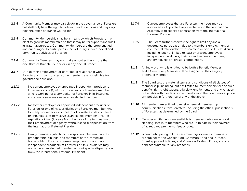- **2.1.4** A Community Member may participate in the governance of Foresters but shall only have the right to vote in Branch elections and may only hold the office of Branch Councillor.
- **2.1.5** Community Membership shall be a means by which Foresters may elect to grow its membership so that it may better support and fulfill its fraternal purposes. Community Members are therefore entitled and encouraged to participate in the voluntary service, social and community activities of Foresters.
- **2.1.6** Community Members may not make up collectively more than one-third of Branch Councillors in any one (1) Branch.
- 2.1.7 Due to their employment or contractual relationship with Foresters or its subsidiaries, some members are not eligible for governance positions.
- 2.1.7.1 No current employee or appointed independent producer of Foresters or one (1) of its subsidiaries or a Foresters member who is working for a competitor of Foresters in its insurance and annuity sales may serve as an elected member.
- 2.1.7.2 No former employee or appointed independent producer of Foresters or one of its subsidiaries or a Foresters member who formerly worked for a competitor of Foresters in its insurance or annuities sales may serve as an elected member until the expiration of two (2) years from the date of the termination of their employment or agency, without special dispensation from the International Fraternal President.
- 2.1.7.3 Family members (which include spouses, children, parents, grandparents, siblings, and members of the immediate household) of Foresters current employees or appointed independent producers of Foresters or its subsidiaries may not serve as an elected member without special dispensation from the International Fraternal President.
- 2.1.7.4 Current employees that are Foresters members may be appointed as Appointed Representatives to the International Assembly with special dispensation from the International Fraternal President.
- 2.1.7.5 The Board further reserves the right to limit any and all governance participation due to a member's employment or contractual relationship with Foresters or one of its subsidiaries including, but not limited to, past or present employees, independent producers, their respective family members, and employees of Foresters competitors.
- 2.1.8 An individual who is entitled to be both a Benefit Member and a Community Member will be assigned to the category of Benefit Member.
- 2.1.9 The Board sets the material terms and conditions of all classes of membership, including, but not limited to, membership fees or dues, benefits, rights, obligations, eligibility, entitlements and any variation of benefits within a class of membership and the Board may approve any policies in furtherance of any of the above.
- **2.1.10** All members are entitled to receive general membership communications from Foresters, including the official publication(s) of Foresters, as determined by the Board.
- **2.1.11** Member entitlements are available to members who are in good standing, that is, to members who are up to date in their payment of all required premiums, fees or dues.
- 2.1.12 When participating in Foresters meetings or events, members are subject to the Constitution, Common Bond and Purpose, Board approved Policies, and Volunteer Code of Ethics, and are held accountable for any breaches.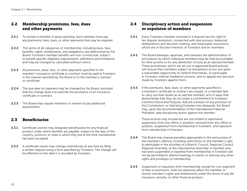# <span id="page-9-0"></span>2.2 Membership premiums, fees, dues and other payments

- **2.2.1** To remain a member in good standing, each member must pay any premiums, fees, dues, or other payments that may be required.
- **2.2.2** The terms of all categories of membership, including dues, fees, benefits, rights, entitlements, and obligations, are determined by the Board. Foresters member benefits are non-contractual, subject to benefit specific eligibility requirements, definitions and limitations and may be changed or cancelled without notice.
- **2.2.3** All premiums, dues, fees, or other payments specified in the member's insurance certificate or contract must be paid to Foresters in the manner specified by the Board or in the member's contract or certificate.
- **2.2.4** The due date for payment may be changed by the Board, provided that the change does not override the provisions of an insurance certificate or contract.
- **2.2.5** The Board may require members or owners to pay additional assessments.

### <span id="page-9-1"></span>2.3 Beneficiaries

- **2.3.1** Certificate owners may designate beneficiaries for any financial product under which benefits are payable, subject to the laws of the country, province, or state in which they live at the time membership has been accepted.
- **2.3.2** A certificate owner may change a beneficiary at any time by filing a written request using a form specified by Foresters. The change will be effective on the date it is recorded by Foresters.

# <span id="page-9-2"></span>2.4 Disciplinary action and suspension or expulsion of members

- **2.4.1** Every Foresters member involved in a dispute has the right to fair dispute resolution, conducted with due process, balanced deliberations and decision-making, and reasonable resolutions which are in the best interests of Foresters and its members.
- **2.4.2** The Board develops, approves, and oversees the administration of procedures by which individual members may be held accountable for their actions or for any dereliction of duty as an elected member. These procedures, which are set out in approved Board policies, will ensure that members subject to disciplinary action are given a reasonable opportunity to defend themselves, to participate in Foresters internal mediation process, and to appeal any decision made by Foresters against them.
- **2.4.3** If the premiums, fees, dues, or other payments specified in a member's certificate or contract are unpaid, or a member fails to carry out their duties as an elected member, acts in ways that demonstrate that they do not share a commitment to Foresters Common Bond and Purpose, that are a breach of any provision of this Constitution, or that bring Foresters into disrepute, the Board may, upon the recommendation of the International Fraternal President, take disciplinary action against the member.

 These actions may include but are not limited to reprimand; suspension from any office or position; removal from any office or position; suspension from membership in Foresters; and expulsion from membership in Foresters.

- **2.4.4** The Board may impose penalties appropriate to the seriousness of the member's offence, including restrictions on the member's right to participate in the activities of a Branch Council, Regional Council, Regional Assembly, or the International Assembly. A member who has been suspended or expelled from membership in Foresters will not be permitted to attend meetings or events or exercise any other rights and privileges of membership.
- **2.4.5** Suspension or expulsion from membership, except for non-payment of fees or premiums, shall not adversely affect the member or former member's rights and entitlements under the terms of any life insurance, annuity, or other financial product.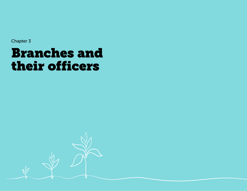# <span id="page-10-0"></span>Branches and their officers

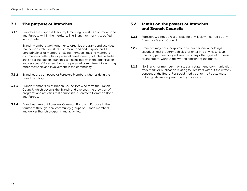## <span id="page-11-0"></span>3.1 The purpose of Branches

**3.1.1** Branches are responsible for implementing Foresters Common Bond and Purpose within their territory. The Branch territory is specified in its Charter.

> Branch members work together to organize programs and activities that demonstrate Foresters Common Bond and Purpose and its core principles of members helping members, making members' communities better places, personal development, volunteer activities, and social interaction. Branches stimulate interest in the organization and services of Foresters through a personal commitment to assisting other members and involvement in the community.

- 3.1.2 Branches are composed of Foresters Members who reside in the Branch territory.
- 3.1.3 Branch members elect Branch Councillors who form the Branch Council, which governs the Branch and oversees the provision of programs and activities that demonstrate Foresters Common Bond and Purpose.
- **3.1.4** Branches carry out Foresters Common Bond and Purpose in their territories through local community groups of Branch members and deliver Branch programs and activities.

# <span id="page-11-1"></span>3.2 Limits on the powers of Branches and Branch Councils

- **3.2.1** Foresters will not be responsible for any liability incurred by any Branch or Branch Council.
- 3.2.2 Branches may not incorporate or acquire financial holdings, securities, real property, vehicles, or enter into any lease, loan, financing partnership, joint venture or any other type of business arrangement, without the written consent of the Board.
- **3.2.3** No Branch or member may issue any statement, communication, trademark, or publication relating to Foresters without the written consent of the Board. For social media content, all posts must follow guidelines as prescribed by Foresters.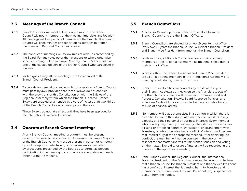## <span id="page-12-0"></span>3.3 Meetings of the Branch Council

- **3.3.1** Branch Councils will meet at least once a month. The Branch Council will notify members of the meeting time, date, and location. All meetings will be open to all members of the Branch. The Branch Council will keep minutes and report on its activities to Branch members and Regional Council as required.
- **3.3.2** The conduct of meetings will follow rules of order, as prescribed by the Board. For any votes other than elections or where otherwise specified, voting will be by Simple Majority; that is, 50 percent plus one of the elected officers of the Branch Council who participate in the vote.
- **3.3.3** Invited guests may attend meetings with the approval of the Branch Council President.
- **3.3.4** To provide for general or standing rules of operation, a Branch Council must pass Bylaws, provided that these Bylaws do not conflict with the provisions of this Constitution or with the Bylaws of the Regional Assembly within which the Branch is located. Branch Bylaws are enacted or amended by a vote of no less than two-thirds of the Branch Councillors who participate in the vote.

 These Bylaws do not take effect until they have been approved by the International Fraternal President.

### <span id="page-12-1"></span>3.4 Quorum at Branch Council meetings

 At any Branch Council meeting, a quorum must be present in order for business to be conducted. A quorum is a Simple Majority of the Branch Council who must be present in person or remotely by such telephonic, electronic, or other means as permitted by procedures prescribed by the Board as to permit all persons participating in the meeting to communicate adequately with each other during the meeting.

### <span id="page-12-2"></span>3.5 Branch Councillors

- **3.5.1** At least six (6) and up to ten Branch Councillors form the Branch Council and are the Branch Officers.
- **3.5.2** Branch Councillors are elected for a two (2) year term of office. Every two (2) years the Branch Council will elect a Branch President and Branch Vice President from amongst the Branch Councillors.
- 3.5.3 While in office, all Branch Councillors are ex officio voting members of the Regional Assembly if its meeting is held during their term of office.
- 3.5.4 While in office, the Branch President and Branch Vice President are ex officio voting members of the International Assembly if its meeting is held during their term of office.
- 3.5.5 Branch Councillors have accountability for stewardship of their Branch. As stewards, they oversee the financial aspects of the Branch in accordance with Foresters Common Bond and Purpose, Constitution, Bylaws, Board Approved Policies, and Volunteer Code of Ethics and can be held accountable for any misuse of financial assets.
- **3.5.6** No member will place themselves in a position in which there is a conflict between their duties as a member of Foresters in any capacity and their personal or business interests. Every member who is in any way directly or indirectly interested or involved in an existing or proposed contract, transaction, or arrangement with Foresters, or who otherwise has a conflict of interest, will declare that interest fully at the appropriate meeting. After declaring the conflict, the member will not be counted in the quorum with respect to that matter and will refrain from discussion and voting on the matter. Every disclosure of interest will be recorded in the minutes of the appropriate meeting.
- **3.5.7** If the Branch Council, the Regional Council, the International Fraternal President, or the Board has reasonable grounds to believe that a Branch Councillor, Branch President or a Branch Vice President has a conflict of interest that is causing harm to Foresters and its members, the International Fraternal President may suspend that person from their office.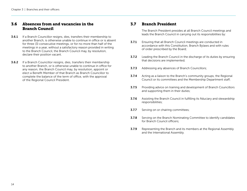## <span id="page-13-0"></span>3.6 Absences from and vacancies in the Branch Council

- **3.6.1** If a Branch Councillor resigns, dies, transfers their membership to another Branch, is otherwise unable to continue in office or is absent for three (3) consecutive meetings, or for no more than half of the meetings in a year, without a satisfactory reason provided in writing to the Branch Council, the Branch Council may, by resolution, declare their position vacant.
- 3.6.2 If a Branch Councillor resigns, dies, transfers their membership to another Branch, or is otherwise unable to continue in office for any reason, the Branch Council may, by resolution, appoint or elect a Benefit Member of that Branch as Branch Councillor to complete the balance of the term of office, with the approval of the Regional Council President.

#### <span id="page-13-1"></span>3.7 Branch President

 The Branch President presides at all Branch Council meetings and leads the Branch Council in carrying out its responsibilities by:

- **3.7.1** Ensuring that all Branch Council meetings are conducted in accordance with this Constitution, Branch Bylaws and with rules of order prescribed by the Board;
- **3.7.2** Leading the Branch Council in the discharge of its duties by ensuring that decisions are implemented;
- **3.7.3** Addressing any absences of Branch Councillors;
- **3.7.4** Acting as a liaison to the Branch's community groups, the Regional Council or its committees and the Membership Department staff;
- **3.7.5** Providing advice on training and development of Branch Councillors and supporting them in their duties;
- **3.7.6** Assisting the Branch Council in fulfilling its fiduciary and stewardship responsibilities;
- **3.7.7** Serving on or chairing committees;
- **3.7.8** Serving on the Branch Nominating Committee to identify candidates for Branch Council officers;
- **3.7.9** Representing the Branch and its members at the Regional Assembly and the International Assembly.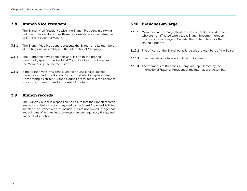### <span id="page-14-0"></span>3.8 Branch Vice President

 The Branch Vice President assists the Branch President in carrying out their duties and assumes those responsibilities in their absence or if the role becomes vacant.

- 3.8.1 The Branch Vice President represents the Branch and its members at the Regional Assembly and the International Assembly.
- **3.8.2** The Branch Vice President acts as a liaison to the Branch community groups, the Regional Council or its committees and the Membership Department staff.
- **3.8.3** If the Branch Vice President is unable or unwilling to accept this appointment, the Branch Council shall elect a replacement from among its current Branch Councillors to act as a replacement to carry out these duties for the rest of the term.

### <span id="page-14-1"></span>3.9 Branch records

 The Branch Council is responsible to ensure that the Branch records are kept and that all reports required by the Board Approved Policies are filed. The Branch records include, but are not limited to, agendas and minutes of its meetings, correspondence, regulatory filings, and financial information.

## <span id="page-14-2"></span>3.10 Branches-at-large

- **3.10.1** Members are normally affiliated with a local Branch. Members who are not affiliated with a local Branch become members of a Branches-at-large in Canada, the United States, or the United Kingdom.
- **3.10.2** The officers of the Branches-at-large are the members of the Board.
- **3.10.3** Branches-at-large have no obligation to meet.
- **3.10.4** The members of Branches-at-large are represented by the International Fraternal President at the International Assembly.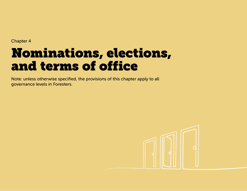# <span id="page-15-0"></span>Nominations, elections, and terms of office

Note: unless otherwise specified, the provisions of this chapter apply to all governance levels in Foresters.

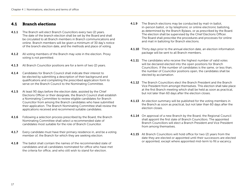## <span id="page-16-0"></span>4.1 Branch elections

- **4.1.1** The Branch will elect Branch Councillors every two (2) years. The date of the branch election shall be set by the Board and shall be circulated to all Branch members in Branch communications and online. Branch members will be given a minimum of 30 day's notice of the branch election date, and the methods and place of voting.
- **4.1.2** All voting members of the Branch may vote in the election. Proxy voting is not permitted.
- **4.1.3** All Branch Councillor positions are for a term of two (2) years.
- 4.1.4 Candidates for Branch Council shall indicate their interest to be elected by submitting a description of their background and qualifications and completing the prescribed application form to serve on the Branch Council to the Nominating Committee.
- **4.1.5** At least 90 days before the election date, assisted by the Chief Elections Officer or their designate, the Branch Council shall establish a Nominating Committee to review eligible candidates for Branch Councillor from among the Branch candidates who have submitted their application. The Branch Nominating Committee shall review the applications received and recommend suitable candidates.
- **4.1.6** Following a selection process prescribed by the Board, the Branch Nominating Committee shall select a recommended slate of candidates most suitable for the role of Branch Councillor.
- **4.1.7** Every candidate must have their primary residence in, and be a voting member of, the Branch for which they are seeking election.
- 4.1.8 The ballot shall contain the names of the recommended slate of candidates and all candidates nominated for office who have met the criteria for office, and who still wish to stand for election.
- **4.1.9** The Branch elections may be conducted by mail-in ballot, in-person ballot, or by telephonic or online electronic balloting, as determined by the Branch Bylaws, or as prescribed by the Board. The election shall be supervised by the Chief Elections Officer. The Board shall prescribe the procedures and processes for online and mail in balloting for Branch elections.
- **4.1.10** Thirty days prior to the annual election date, an election information package will be sent to all Branch members.
- **4.1.11** The candidates who receive the highest number of valid votes will be declared elected into the open positions for Branch Councillors. If the number of candidates is the same, or less than, the number of Councillor positions open, the candidates shall be elected by acclamation.
- **4.1.12** The Branch Councillors elect the Branch President and the Branch Vice President from amongst themselves. This election shall take place at the first Branch meeting which shall be held as soon as practical, but not later than 60 days after the election closes.
- **4.1.13** An election summary will be published for the voting members in the Branch as soon as practical, but not later than 60 days after the election closes.
- 4.1.14 On approval of a new Branch by the Board, the Regional Council shall appoint the first slate of Branch Councillors. The appointed Branch Councillors will elect a Branch President and Vice President from among themselves.
- **4.1.15** All Branch Councillors will hold office for two (2) years from the date they are elected or appointed until their successors are elected or appointed, except where appointed mid-term to fill a vacancy.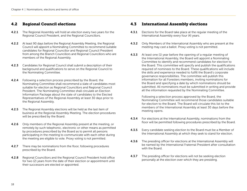## <span id="page-17-0"></span>4.2 Regional Council elections

- **4.2.1** The Regional Assembly will hold an election every two years for the Regional Council President, and the Regional Councillors.
- 4.2.2 At least 90 days before the Regional Assembly Meeting, the Regional Council will appoint a Nominating Committee to recommend suitable candidates for Regional Councillor and Regional Council President from among the Branch Councillors and Regional Councillors who are members of the Regional Assembly.
- 4.2.3 Candidates for Regional Council shall submit a description of their background and qualifications to serve on the Regional Council to the Nominating Committee.
- **4.2.4** Following a selection process prescribed by the Board, the Nominating Committee shall recommend a slate of candidates most suitable for election as Regional Councillors and Regional Council President. The Nominating Committee shall circulate an Election Information Package about the slate of candidates to the Elected Representatives of the Regional Assembly at least 30 days prior to the Regional Assembly.
- **4.2.5** The Regional Assembly elections will be held as the last item of business at the Regional Assembly Meeting. The election procedures will be prescribed by the Board.
- **4.2.6** Only members of the Regional Assembly present at the meeting, or remotely by such telephonic, electronic or other means as permitted by procedures prescribed by the Board as to permit all persons participating in the meeting to communicate with each other during the meeting are eligible to vote. Proxy voting is not permitted.
- **4.2.7** There may be nominations from the floor, following procedures prescribed by the Board.
- 4.2.8 Regional Councillors and the Regional Council President hold office for two (2) years from the date of their election or appointment until their successors are elected or appointed.

## <span id="page-17-1"></span>4.3 International Assembly elections

- **4.3.1** Elections for the Board take place at the regular meeting of the International Assembly every four (4) years.
- **4.3.2** Only Members of the International Assembly who are present at the meeting may cast a ballot. Proxy voting is not permitted.
- **4.3.3** At least one (1) year before the opening of a regular meeting of the International Assembly, the Board will appoint a Nominating Committee to identify and recommend candidates for election to the Board. This committee will specify and publish the qualifications required of nominees to the Board. These qualifications will include the skills and experience needed to fulfill the Board's corporate governance responsibilities. The committee will publish this information for all Foresters members, inviting nominations for the Board and specifying a date by which nominations should be submitted. All nominations must be submitted in writing and provide all the information requested by the Nominating Committee.

 Following a selection process approved by the Board, the Nominating Committee will recommend those candidates suitable for election to the Board. The Board will circulate this list to the members of the International Assembly at least 30 days before the meeting opens.

- **4.3.4** For elections at the International Assembly, nominations from the floor will be permitted following procedures prescribed by the Board.
- **4.3.5** Every candidate seeking election to the Board must be a Member of the International Assembly at which they seek to stand for election.
- **4.3.6** The presiding officer for elections at the International Assembly will be named by the International Fraternal President after consultation with the Board.
- **4.3.7** The presiding officer for elections will not be seeking election personally at the election over which they are presiding.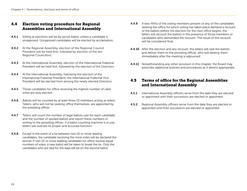## <span id="page-18-0"></span>4.4 Election voting procedure for Regional Assemblies and International Assembly

- **4.4.1** Voting at elections will be by secret ballot, unless a candidate is unopposed. Unopposed candidates will be elected by acclamation.
- **4.4.2** At the Regional Assembly, election of the Regional Council President will be held first, followed by election of the ten Regional Councillors.
- 4.4.3 At the International Assembly, election of the International Fraternal President will be held first, followed by the election of the Directors.
- **4.4.4** At the International Assembly, following the election of the International Fraternal President, the International Fraternal Vice President will be elected from among the newly elected Directors.
- **4.4.5** Those candidates for office receiving the highest number of valid votes are duly elected.
- **4.4.6** Ballots will be counted by at least three (3) members acting as tellers. Tellers, who will not be seeking office themselves, are appointed by the presiding officer.
- **4.4.7** Tellers will count the number of legal ballots cast for each candidate and the number of spoiled ballots and report these numbers in writing to the presiding officer. If a ballot counting machine is in use, tellers will oversee its proper and accurate function.
- **4.4.8** Except in the event of a tie between two (2) or more leading candidates, the candidate receiving the most votes will be declared the winner. If two (2) or more leading candidates for office receive equal numbers of votes, a new ballot will be taken to break the tie. Only the candidates who are tied for the lead will be on the second ballot.
- **4.4.9** If two-fifths of the voting members present or any of the candidates seeking the office for which voting has taken place demand a recount of the ballots before the election for the next office begins, the tellers will recount the ballots in the presence of those members or candidates who demanded the recount. The result of the recount will be considered final.
- **4.4.10** After the election and any recount, the tellers will seal the ballots and deliver them to the presiding officer, who will destroy them immediately after the meeting is adjourned.
- **4.4.11** Notwithstanding any other provision in this chapter, the Board may prescribe additional policies and procedures as it deems appropriate.

## <span id="page-18-1"></span>4.5 Terms of office for the Regional Assemblies and International Assembly

- **4.5.1** International Assembly officers serve from the date they are elected or appointed until their successors are elected or appointed.
- **4.5.2** Regional Assembly officers serve from the date they are elected or appointed until their successors are elected or appointed.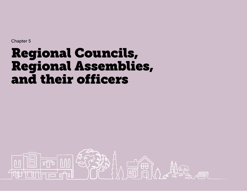# <span id="page-19-0"></span>Regional Councils, Regional Assemblies, and their officers

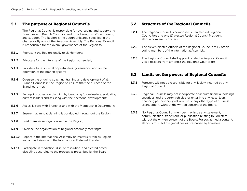## <span id="page-20-0"></span>5.1 The purpose of Regional Councils

 The Regional Council is responsible for overseeing and supervising Branches and Branch Councils, and for advising on officer training and support. The Region is the geographic area specified in the charter or Bylaws of the Regional Assembly. The Regional Council is responsible for the overall governance of the Region to:

- **5.1.1** Represent the Region locally to all Members;
- **5.1.2** Advocate for the interests of the Region as needed;
- **5.1.3** Provide advice on local opportunities, governance, and on the operation of the Branch system;
- **5.1.4** Oversee the ongoing coaching, training and development of all Branch Councils in the Region to ensure that the purpose of the Branches is met;
- **5.1.5** Engage in succession planning by identifying future leaders, evaluating current leaders and assisting with their personal development;
- **5.1.6** Act as liaisons with Branches and with the Membership Department;
- **5.1.7** Ensure that annual planning is conducted throughout the Region;
- **5.1.8** Lead member recognition within the Region;
- **5.1.9** Oversee the organization of Regional Assembly meetings;
- **5.1.10** Report to the International Assembly on matters within its Region and act as liaison with the International Fraternal President;
- **5.1.11** Participate in mediation, dispute resolution, and elected officer discipline according to the process as prescribed by the Board.

## <span id="page-20-1"></span>5.2 Structure of the Regional Councils

- **5.2.1** The Regional Council is composed of ten elected Regional Councillors and one (1) elected Regional Council President, all of whom are its officers.
- **5.2.2** The eleven elected officers of the Regional Council are ex officio voting members of the International Assembly.
- **5.2.3** The Regional Council shall appoint or elect a Regional Council Vice President from amongst the Regional Councillors.

#### <span id="page-20-2"></span>5.3 Limits on the powers of Regional Councils

- **5.3.1** Foresters will not be responsible for any liability incurred by any Regional Council.
- **5.3.2** Regional Councils may not incorporate or acquire financial holdings, securities, real property, vehicles, or enter into any lease, loan, financing partnership, joint venture or any other type of business arrangement, without the written consent of the Board.
- **5.3.3** No Regional Council or member may issue any statement, communication, trademark, or publication relating to Foresters without the written consent of the Board. For social media content, all posts must follow guidelines as prescribed by Foresters.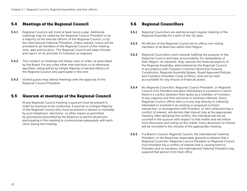## <span id="page-21-0"></span>5.4 Meetings of the Regional Council

- 5.4.1 Regional Councils will meet at least twice a year. Additional meetings may be called by the Regional Council President or by a majority of the elected officers of the Regional Council, or by the International Fraternal President. Unless waived, notice will be provided to all members of the Regional Council of the meeting time, date and location. The Regional Council will keep minutes and report on its activities to Foresters as required.
- 5.4.2 The conduct of meetings will follow rules of order, as prescribed by the Board. For any votes other than elections or as otherwise specified, voting will be by Simple Majority of elected officers of the Regional Council who participate in the vote.
- **5.4.3** Invited quests may attend meetings with the approval of the Regional Council President.

## <span id="page-21-1"></span>5.5 Quorum at meetings of the Regional Council

 At any Regional Council meeting, a quorum must be present in order for business to be conducted. A quorum is a Simple Majority of the Regional Council who must be present in person or remotely by such telephonic, electronic, or other means as permitted by procedures prescribed by the Board as to permit all persons participating in the meeting to communicate adequately with each other during the meeting.

## <span id="page-21-2"></span>5.6 Regional Councillors

- **5.6.1** Regional Councillors are elected at each regular meeting of the Regional Assembly for a term of two (2) years.
- **5.6.2** All officers of the Regional Council are ex officio non-voting members of all Branches within their Region.
- **5.6.3** Regional Councillors work towards fulfilling the purpose of the Regional Council and have accountability for stewardship of their Region. As stewards, they oversee the financial aspects of the Regional Assembly, administered by the Regional Council, in accordance with Foresters Common Bond and Purpose, Constitution, Regional Assembly Bylaws, Board Approved Policies, and Foresters Volunteer Code of Ethics, and can be held accountable for any misuse of financial assets.
- 5.6.4 No Regional Councillor, Regional Council President, or Regional Council Vice President will place themselves in a position in which there is a conflict between their duties as a member of Foresters in any capacity and their personal or business interests. Every Regional Council officer who is in any way directly or indirectly interested or involved in an existing or proposed contract, transaction, or arrangement with Foresters, or who otherwise has a conflict of interest, will declare that interest fully at the appropriate meeting. After declaring the conflict, the individual will not be counted in the quorum with respect to that matter and will refrain from discussion and voting on the matter. Every disclosure of interest will be recorded in the minutes of the appropriate meeting.
- **5.6.5** If a Branch Council, Regional Council, the International Fraternal President, or the Board has reasonable grounds to believe that a Regional Councillor, Regional Council President or Regional Council Vice President has a conflict of interest that is causing harm to Foresters and its members, the International Fraternal President may suspend that person from their office.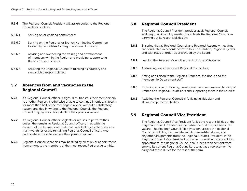- 5.6.6 The Regional Council President will assign duties to the Regional Councillors, such as:
- 5.6.6.1 Serving on or chairing committees;
- 5.6.6.2 Serving on the Regional or Branch Nominating Committee to identify candidates for Regional Council officers;
- 5.6.6.3 Advising and overseeing the training and development of members within the Region and providing support to its Branch Council officers;
- 5.6.6.4 Assisting the Regional Council in fulfilling its fiduciary and stewardship responsibilities.

## <span id="page-22-0"></span>5.7 Absences from and vacancies in the Regional Council

- **5.7.1** If a Regional Council officer resigns, dies, transfers their membership to another Region, is otherwise unable to continue in office, is absent for more than half of the meetings in a year, without a satisfactory reason provided in writing to the Regional Council, the Regional Council may, by resolution, declare their position vacant.
- **5.7.2** If a Regional Council officer neglects or refuses to perform their duties, the remaining Regional Council officers may, with the consent of the International Fraternal President, by a vote of no less than two-thirds of the remaining Regional Council officers who participate in the vote, declare their position vacant.
- **5.7.3** Regional Council vacancies may be filled by election or appointment, from amongst the members of the most recent Regional Assembly.

## <span id="page-22-1"></span>5.8 Regional Council President

 The Regional Council President presides at all Regional Council and Regional Assembly meetings and leads the Regional Council in carrying out its responsibilities by:

- **5.8.1** Ensuring that all Regional Council and Regional Assembly meetings are conducted in accordance with this Constitution, Regional Bylaws and with rules of order, as prescribed by the Board;
- **5.8.2** Leading the Regional Council in the discharge of its duties;
- **5.8.3** Addressing any absences of Regional Councillors;
- **5.8.4** Acting as a liaison to the Region's Branches, the Board and the Membership Department staff;
- **5.8.5** Providing advice on training, development and succession planning of Branch and Regional Councillors and supporting them in their duties;
- 5.8.6 Assisting the Regional Council in fulfilling its fiduciary and stewardship responsibilities.

## <span id="page-22-2"></span>5.9 Regional Council Vice President

 The Regional Council Vice President fulfills the responsibilities of the Regional Council President in their absence or if the role becomes vacant. The Regional Council Vice President assists the Regional Council in fulfilling its mandate and its stewardship duties, and any other assignments from the Regional Council President. If the Regional Council Vice President is unable or unwilling to accept this appointment, the Regional Council shall elect a replacement from among its current Regional Councillors to act as a replacement to carry out these duties for the rest of the term.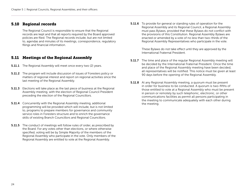## <span id="page-23-0"></span>5.10 Regional records

 The Regional Council is responsible to ensure that the Regional records are kept and that all reports required by the Board approved policies are filed. The Regional records include, but are not limited to, agendas and minutes of its meetings, correspondence, regulatory filings and financial information.

# <span id="page-23-1"></span>5.11 Meetings of the Regional Assembly

- **5.11.1** The Regional Assembly will meet once every two (2) years.
- 5.11.2 The program will include discussion of issues of Foresters policy or matters of regional interest and report on regional activities since the last meeting of the Regional Assembly.
- **5.11.3** Elections will take place as the last piece of business at the Regional Assembly meeting, with the election of Regional Council President preceding the election of the Regional Councillors.
- **5.11.4** Concurrently with the Regional Assembly meeting, additional programming will be provided which will include, but is not limited to, programs to prepare members for governance and community service roles in Foresters structure and to enrich the governance skills of existing Branch Councillors and Regional Councillors.
- **5.11.5** The conduct of meetings will follow rules of order, as prescribed by the Board. For any votes other than elections, or where otherwise specified, voting will be by Simple Majority of the members of the Regional Assembly who participate in the vote. Only members of the Regional Assembly are entitled to vote at the Regional Assembly.

**5.11.6** To provide for general or standing rules of operation for the Regional Assembly and its Regional Council, a Regional Assembly must pass Bylaws, provided that these Bylaws do not conflict with the provisions of this Constitution. Regional Assembly Bylaws are enacted or amended by a vote of no less than two-thirds of the Regional Assembly Representatives who participate in the vote.

> These Bylaws do not take effect until they are approved by the International Fraternal President.

- **5.11.7** The time and place of the regular Regional Assembly meeting will be decided by the International Fraternal President. Once the time and place of the Regional Assembly meeting have been decided, all representatives will be notified. This notice must be given at least 90 days before the opening of the Regional Assembly.
- **5.11.8** At any Regional Assembly meeting, a quorum must be present in order for business to be conducted. A quorum is two-fifths of those entitled to vote at a Regional Assembly who must be present in person or remotely by such telephonic, electronic, or other communications facilities as permit all persons participating in the meeting to communicate adequately with each other during the meeting.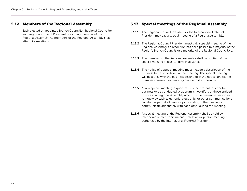# <span id="page-24-0"></span>5.12 Members of the Regional Assembly

 Each elected or appointed Branch Councillor, Regional Councillor, and Regional Council President is a voting member of the Regional Assembly. All members of the Regional Assembly shall attend its meetings.

# <span id="page-24-1"></span>5.13 Special meetings of the Regional Assembly

- **5.13.1** The Regional Council President or the International Fraternal President may call a special meeting of a Regional Assembly.
- 5.13.2 The Regional Council President must call a special meeting of the Regional Assembly if a resolution has been passed by a majority of the Region's Branch Councils or a majority of the Regional Councillors.
- **5.13.3** The members of the Regional Assembly shall be notified of the special meeting at least 14 days in advance.
- **5.13.4** The notice of a special meeting must include a description of the business to be undertaken at the meeting. The special meeting will deal only with the business described in the notice, unless the members present unanimously decide to do otherwise.
- **5.13.5** At any special meeting, a quorum must be present in order for business to be conducted. A quorum is two-fifths of those entitled to vote at a Regional Assembly who must be present in person or remotely by such telephonic, electronic, or other communications facilities as permit all persons participating in the meeting to communicate adequately with each other during the meeting.
- **5.13.6** A special meeting of the Regional Assembly shall be held by telephonic or electronic means, unless an in-person meeting is authorized by the International Fraternal President.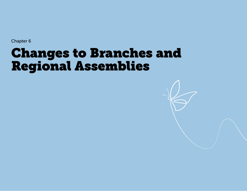# <span id="page-25-0"></span>Changes to Branches and Regional Assemblies

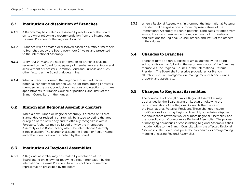## <span id="page-26-0"></span>6.1 Institution or dissolution of Branches

- **6.1.1** A Branch may be created or dissolved by resolution of the Board on its own or following a recommendation from the International Fraternal President or the Regional Council.
- 6.1.2 Branches will be created or dissolved based on a ratio of members to branches set by the Board every four (4) years and presented to the International Assembly.
- **6.1.3** Every four (4) years, the ratio of members to Branches shall be reviewed by the Board for adequacy of member representation and achievement of Foresters Common Bond and Purpose and such other factors as the Board shall determine.
- **6.1.4** When a Branch is formed, the Regional Council will recruit potential candidates for Branch Councillor from among Foresters members in the area, conduct nominations and elections or make appointments for Branch Councillor positions, and instruct the Branch Councillors in their duties.

## <span id="page-26-1"></span>6.2 Branch and Regional Assembly charters

 When a new Branch or Regional Assembly is created or its area is amended or revised, a charter will be issued to define the area or region of the new body and to officially recognize it within Foresters. A charter may be issued only by the International Assembly or the Board, acting when the International Assembly is not in session. The charter shall state the Branch or Region name and other identification prescribed by the Board.

### <span id="page-26-2"></span>6.3 Institution of Regional Assemblies

**6.3.1** A Regional Assembly may be created by resolution of the Board acting on its own or following a recommendation by the International Fraternal President, based on policies for member representation prescribed by the Board.

**6.3.2** When a Regional Assembly is first formed, the International Fraternal President will designate one or more Representatives of the International Assembly to recruit potential candidates for office from among Foresters members in the region, conduct nominations and elections for Regional Council offices, and instruct the officers in their duties.

## <span id="page-26-3"></span>6.4 Changes to Branches

 Branches may be altered, closed or amalgamated by the Board acting on its own or following the recommendation of the Branches themselves, the Regional Council, or the International Fraternal President. The Board shall prescribe procedures for Branch alteration, closure, amalgamation, management of branch funds, property and assets, etc.

## <span id="page-26-4"></span>6.5 Changes to Regional Assemblies

 The boundaries of one (1) or more Regional Assemblies may be changed by the Board acting on its own or following the recommendation of the Regional Councils themselves or the International Fraternal President. These changes include modifications to existing Regional Assembly boundaries, disputes over boundaries between two (2) or more Regional Assemblies, and the consolidation of one or more Regional Assemblies. The process of modifying boundaries or consolidating Regional Assemblies shall include notice to the Branch Councils within the affected Regional Assemblies. The Board shall prescribe procedures for amalgamating, merging or closing Regional Assemblies.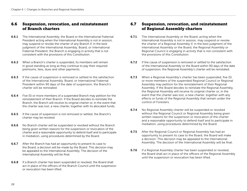## <span id="page-27-0"></span>6.6 Suspension, revocation, and reinstatement of Branch charters

- **6.6.1** The International Assembly, the Board or the International Fraternal President acting when the International Assembly is not in session, may suspend or revoke the charter of any Branch if, in the best judgment of the International Assembly, Board, or International Fraternal President, the Branch is engaging in activity that is not consistent with the provisions of this Constitution.
- **6.6.2** When a Branch's charter is suspended, its members will remain in good standing as long as they continue to pay their required premiums, fees, dues and other payments.
- **6.6.3** If the cause of suspension is removed or settled to the satisfaction of the International Assembly, Board, or International Fraternal President within 90 days of the date of suspension, the Branch's charter will be reinstated.
- 6.6.4 Five (5) or more members of a suspended Branch may petition for the reinstatement of their Branch. If the Board decides to reinstate the Branch, the Branch will receive its original charter or, in the event that the charter was lost, a new charter, together with its allocated funds.
- **6.6.5** If the cause of suspension is not removed or settled, the Branch's charter may be revoked.
- 6.6.6 No Branch charter will be suspended or revoked without the Branch being given written reasons for the suspension or revocation of the charter and a reasonable opportunity to defend itself and to participate in mediation, using procedures determined by the Board.
- **6.6.7** After the Branch has had an opportunity to present its case to the Board, a decision will be made by the Board. This decision may be appealed to the International Assembly. The decision of the International Assembly will be final.
- **6.6.8** If a Branch charter has been suspended or revoked, the Board shall act in place of the officers of the Branch Council until the suspension or revocation has been lifted.

## <span id="page-27-1"></span>6.7 Suspension, revocation, and reinstatement of Regional Assembly charters

- **6.7.1** The International Assembly or the Board, acting when the International Assembly is not in session, may suspend or revoke the charter of a Regional Assembly if, in the best judgment of the International Assembly or the Board, the Regional Assembly or Regional Council is engaging in activity that is not consistent with the provisions of this Constitution.
- **6.7.2** If the cause of suspension is removed or settled to the satisfaction of the International Assembly or the Board within 90 days of the date of suspension, the Regional Assembly's charter will be reinstated.
- **6.7.3** When a Regional Assembly's charter has been suspended, five (5) or more members of the suspended Regional Council or Regional Assembly may petition for the reinstatement of their Regional Assembly. If the Board decides to reinstate the Regional Assembly, the Regional Assembly will receive its original charter or, in the event that the charter was lost, a new charter, together with any effects or funds of the Regional Assembly that remain under the control of Foresters.
- **6.7.4** No Regional Assembly charter will be suspended or revoked without the Regional Council or Regional Assembly being given written reasons for the suspension or revocation of the charter and a reasonable opportunity to defend itself and to participate in mediation, using procedures determined by the Board.
- **6.7.5** After the Regional Council or Regional Assembly has had an opportunity to present its case to the Board, the Board will make a decision. This decision may be appealed to the International Assembly. The decision of the International Assembly will be final.
- **6.7.6** If a Regional Assembly charter has been suspended or revoked, the Board shall act in place of the officers of the Regional Assembly until the suspension or revocation has been lifted.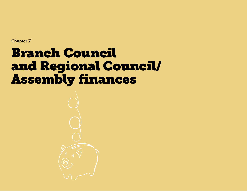# <span id="page-28-0"></span>Branch Council and Regional Council/ Assembly finances

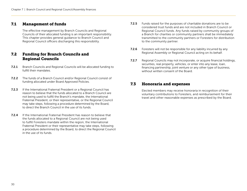## <span id="page-29-0"></span>7.1 Management of funds

 The effective management by Branch Councils and Regional Councils of their allocated funding is an important responsibility. This chapter provides general guidance to Branch Council and Regional Council officers discharging this responsibility.

# <span id="page-29-1"></span>7.2 Funding for Branch Councils and Regional Councils

- 7.2.1 Branch Councils and Regional Councils will be allocated funding to fulfill their mandates.
- 7.2.2 The funds of a Branch Council and/or Regional Council consist of funding allocated under Board Approved Policies.
- 7.2.3 If the International Fraternal President or a Regional Council has reason to believe that the funds allocated to a Branch Council are not being used to fulfill the Branch's mandate, the International Fraternal President, or their representative, or the Regional Council may take steps, following a procedure determined by the Board, to direct the Branch Council in the use of its funds.
- 7.2.4 If the International Fraternal President has reason to believe that the funds allocated to a Regional Council are not being used to fulfill Foresters mandate within the region, the International Fraternal President or their representative may take steps, following a procedure determined by the Board, to direct the Regional Council in the use of its funds.
- **7.2.5** Funds raised for the purposes of charitable donations are to be considered trust funds and are not included in Branch Council or Regional Council funds. Any funds raised by community groups of a Branch for charities or community partners shall be immediately transmitted to the community partners or Foresters for distribution to the community partner.
- **7.2.6** Foresters will not be responsible for any liability incurred by any Regional Assembly or Regional Council acting on its behalf.
- 7.2.7 Regional Councils may not incorporate, or acquire financial holdings, securities, real property, vehicles, or enter into any lease, loan, financing partnership, joint venture or any other type of business, without written consent of the Board.

## <span id="page-29-2"></span>7.3 Honoraria and expenses

 Elected members may receive honoraria in recognition of their voluntary contributions to Foresters, and reimbursement for their travel and other reasonable expenses as prescribed by the Board.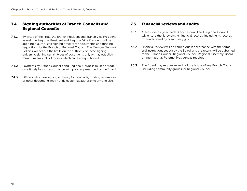# <span id="page-30-0"></span>7.4 Signing authorities of Branch Councils and Regional Councils

- **7.4.1** By virtue of their role, the Branch President and Branch Vice President, as well the Regional President and Regional Vice President will be appointed authorized signing officers for documents and funding requisitions for the Branch or Regional Council. The Member Network Policies will set out the limits on the authority of these signing officers to signing certain types of documents only or may establish maximum amounts of money which can be requisitioned.
- **7.4.2** Payments by Branch Councils and Regional Councils must be made on a timely basis in accordance with policies prescribed by the Board.
- **7.4.3** Officers who have signing authority for contracts, funding requisitions or other documents may not delegate that authority to anyone else.

## <span id="page-30-1"></span>7.5 Financial reviews and audits

- 7.5.1 At least once a year, each Branch Council and Regional Council will ensure that it reviews its financial records, including its records for funds raised by community groups.
- 7.5.2 Financial reviews will be carried out in accordance with the terms and instructions set out by the Board, and the results will be published to the Branch Council, Regional Council, Regional Assembly, Board, or International Fraternal President as required.
- **7.5.3** The Board may require an audit of the books of any Branch Council (including community groups) or Regional Council.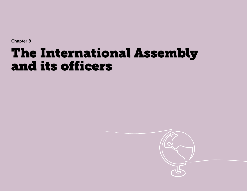# <span id="page-31-0"></span>The International Assembly and its officers

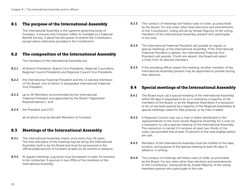## <span id="page-32-0"></span>8.1 The purpose of the International Assembly

 The International Assembly is the supreme governing body of Foresters. It ensures that Foresters fulfills its mandate as a Fraternal Benefit Society. It alone has the power to amend the Constitution, except where otherwise provided in the Constitution.

## <span id="page-32-1"></span>8.2 The composition of the International Assembly

The members of the International Assembly are:

- 8.2.1 All Branch Presidents, Branch Vice Presidents, Regional Councillors, Regional Council Presidents and Regional Council Vice Presidents;
- 8.2.2 the International Fraternal President and the 13 elected members of the Board, one of whom is designated International Fraternal Vice President;
- **8.2.3** up to 20 Members recommended by the International Fraternal President and appointed by the Board ("Appointed Representatives"); and
- 8.2.4 the President and CEO;

all of whom must be Benefit Members of Foresters.

## <span id="page-32-2"></span>8.3 Meetings of the International Assembly

- **8.3.1** The International Assembly meets once every four (4) years. The time and place of the meeting may be set by the International Assembly itself or by the Board and must be announced in the official publication(s) of Foresters at least six (6) months in advance.
- 8.3.2 At regular meetings, a guorum must be present in order for business to be conducted. A quorum is two-fifths of the members of the International Assembly.
- **8.3.3** The conduct of meetings will follow rules of order, as prescribed by the Board. For any votes other than elections and amendments to the Constitution, voting will be by Simple Majority of the voting members of the International Assembly present who participate in the vote.
- 8.3.4 The International Fraternal President will preside at regular or special meetings of the International Assembly. If the International Fraternal President is absent, the International Fraternal Vice President will preside. If both are absent, the Board will select a Chair from its elected members.
- **8.3.5** If the presiding officer leaves the meeting, another member of the International Assembly present may be appointed to preside during their absence.

# <span id="page-32-3"></span>8.4 Special meetings of the International Assembly

- **8.4.1** The Board must call a special meeting of the International Assembly within 90 days if requested to do so in writing by a majority of the members of the Board, or by the Regional Assemblies if a resolution to do so has been passed by a majority of the Regional Assemblies at special meetings called for that purpose, or by mail-in ballot.
- **8.4.2** A Regional Council may use a mail-in ballot distributed to the representatives to the most recent Regional Assembly for a vote on a resolution to call a special meeting of the International Assembly. The resolution is carried if it receives at least two-thirds of the votes cast provided that at least 75 percent of the total eligible ballots are cast.
- 8.4.3 Members of the International Assembly must be notified of the date, location, and purpose of the special meeting at least 60 days in advance, in writing.
- **8.4.4** The conduct of meetings will follow rules of order, as prescribed by the Board. For any votes other than elections and amendments to the Constitution, voting will be by Simple Majority of the voting members present who participate in the vote.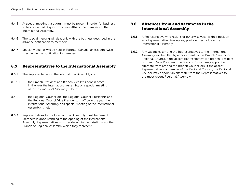- 8.4.5 At special meetings, a quorum must be present in order for business to be conducted. A quorum is two-fifths of the members of the International Assembly.
- **8.4.6** The special meeting will deal only with the business described in the advance notification to members.
- 8.4.7 Special meetings will be held in Toronto, Canada, unless otherwise specified in the notification to members.

## <span id="page-33-0"></span>8.5 Representatives to the International Assembly

- 8.5.1 The Representatives to the International Assembly are:
- 8.5.1.1 the Branch President and Branch Vice President in office in the year the International Assembly or a special meeting of the International Assembly is held;
- 8.5.1.2 the Regional Councillors, the Regional Council Presidents and the Regional Council Vice Presidents in office in the year the International Assembly or a special meeting of the International Assembly is held;
- 8.5.2 Representatives to the International Assembly must be Benefit Members in good standing at the opening of the International Assembly. Representatives must reside within the jurisdiction of the Branch or Regional Assembly which they represent.

# <span id="page-33-1"></span>8.6 Absences from and vacancies in the International Assembly

- **8.6.1** A Representative who resigns or otherwise vacates their position as a Representative gives up any position they hold on the International Assembly.
- 8.6.2 Any vacancies among the Representatives to the International Assembly will be filled by appointment by the Branch Council or Regional Council. If the absent Representative is a Branch President or Branch Vice President, the Branch Council may appoint an alternate from among the Branch Councillors. If the absent Representative is a member of the Regional Council, the Regional Council may appoint an alternate from the Representatives to the most recent Regional Assembly.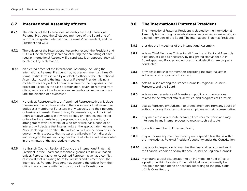## <span id="page-34-0"></span>8.7 International Assembly officers

- 8.7.1 The officers of the International Assembly are the International Fraternal President, the 13 elected members of the Board one of whom is designated International Fraternal Vice President, and the President and CEO.
- 8.7.2 The officers of the International Assembly, except the President and CEO, will be elected by secret ballot during the final sitting of each regular International Assembly. If a candidate is unopposed, they will be elected by acclamation.
- 8.7.3 An elected officer of the International Assembly including the International Fraternal President may not serve more than three (3) terms. Partial terms served by an elected officer of the International Assembly, including the International Fraternal President filling a mid-term vacancy will not count as a term for the purposes of this provision. Except in the case of resignation, death, or removal from office, an officer of the International Assembly will remain in office until the election of a successor.
- 8.7.4 No officer, Representative, or Appointed Representative will place themselves in a position in which there is a conflict between their duties as a member of Foresters in any capacity and their personal or business interests. Every officer, Representative, or Appointed Representative who is in any way directly or indirectly interested or involved in an existing or proposed contract, transaction, or arrangement with Foresters, or who otherwise has a conflict of interest, will declare that interest fully at the appropriate meeting. After declaring the conflict, the individual will not be counted in the quorum with respect to that matter and will refrain from discussion and voting on the matter. Every disclosure of interest will be recorded in the minutes of the appropriate meeting.
- 8.7.5 If a Branch Council, Regional Council, the International Fraternal President, or the Board has reasonable grounds to believe that an officer, Representative, or Appointed Representative has a conflict of interest that is causing harm to Foresters and its members, the International Fraternal President may suspend the officer from their office in accordance with the provisions of the Constitution.

## <span id="page-34-1"></span>8.8 The International Fraternal President

 The International Fraternal President is elected by the International Assembly from among those who have already served or are serving as elected members of the Board. The International Fraternal President:

- 8.8.1 presides at all meetings of the International Assembly;
- 8.8.2 acts as Chief Elections Officer for all Branch and Regional Assembly elections, assisted as necessary by designated staff as set out in Board approved Policies and ensures that all elections are properly conducted;
- 8.8.3 provides leadership for members regarding the fraternal affairs, activities, and programs of Foresters;
- 8.8.4 acts as liaison among the Branch Councils, Regional Councils, Foresters, and the Board;
- 8.8.5 acts as a representative of Foresters in public communications related to the fraternal affairs, activities, and programs of Foresters;
- 8.8.6 acts as Foresters ombudsman to protect members from any abuse of authority by any Foresters officer or employee or their representative;
- 8.8.7 may mediate in any dispute between Foresters members and may intervene in any internal process to resolve such a dispute;
- **8.8.8** is a voting member of Foresters Board;
- 8.8.9 may authorize any member to carry out a specific task that is within the International Fraternal President's authority under the Constitution;
- **8.8.10** may appoint inspectors to examine the financial records and audit the financial condition of any Branch Council or Regional Council;
- 8.8.11 may grant special dispensation to an individual to hold office or a position within Foresters if the individual would normally be ineligible for such office or position according to the provisions of this Constitution;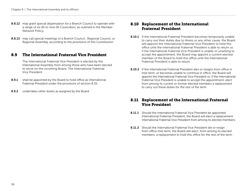- 8.8.12 may grant special dispensation for a Branch Council to operate with a range of six (6) to nine (9) Councillors, as outlined in the Member Network Policy;
- 8.8.13 may call special meetings of a Branch Council, Regional Council, or Regional Assembly, according to the provisions of this Constitution.

## <span id="page-35-0"></span>8.9 The International Fraternal Vice President

 The International Fraternal Vice President is elected by the International Assembly from among those who have been elected to serve on the incoming Board. The International Fraternal Vice President:

- 8.9.1 shall be appointed by the Board to hold office as International Fraternal President under the provisions of section 8.10;
- 8.9.2 undertakes other duties as assigned by the Board.

# <span id="page-35-1"></span>8.10 Replacement of the International Fraternal President

- **8.10.1** If the International Fraternal President becomes temporarily unable to carry out their duties due to illness or any other cause, the Board will appoint the International Fraternal Vice President to hold this office until the International Fraternal President is able to return or, if the International Fraternal Vice President is unable or unwilling to accept the appointment, the Board may appoint a current elected member of the Board to hold this office until the International Fraternal President is able to return.
- 8.10.2 If the International Fraternal President dies or resigns from office in mid-term, or becomes unable to continue in office, the Board will appoint the International Fraternal Vice President or, if the International Fraternal Vice President is unable to accept this appointment, elect from among its current or former elected members a replacement to carry out these duties for the rest of the term.

# <span id="page-35-2"></span>8.11 Replacement of the International Fraternal Vice President

- 8.11.1 Should the International Fraternal Vice President be appointed International Fraternal President, the Board will elect a replacement International Fraternal Vice President from among its elected members.
- 8.11.2 Should the International Fraternal Vice President die or resign from office mid-term, the Board will elect, from among its elected members, a replacement to hold this office for the rest of the term.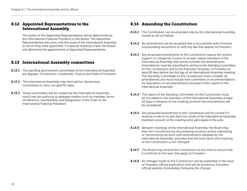## <span id="page-36-0"></span>8.12 Appointed Representatives to the International Assembly

 The duties of the Appointed Representatives will be determined by the International Fraternal President or the Board. The Appointed Representatives will serve until the close of the International Assembly to which they were appointed. If a special meeting is held, the Board will determine the appointment of Appointed Representatives.

## <span id="page-36-1"></span>8.13 International Assembly committees

- **8.13.1** The standing (permanent) committees of the International Assembly are Appeals, Constitution, Credentials, Finance and State of Foresters.
- **8.13.2** The International Assembly may form ad hoc (temporary) committees to carry out specific tasks.
- **8.13.3** These committees will be created by the International Assembly, which has the authority to delegate matters such as mandate, terms of reference, membership, and designation of the Chair to the International Fraternal President.

# <span id="page-36-2"></span>8.14 Amending the Constitution

- **8.14.1** The Constitution can be amended only by the International Assembly, except as set out below.
- **8.14.2** No amendment will be accepted that is inconsistent with Foresters incorporating documents or with any law that applies to Foresters.
- **8.14.3** Any proposed amendments to the Constitution require the written support of a Regional Council or at least twelve members of the International Assembly that would consider the amendments. Amendments must be submitted in writing to the Standing Committee on the Constitution and to the Executive Secretary of Foresters at least 60 days before the first day of an International Assembly meeting. The Standing Committee on the Constitution must consider all amendments and must include their comments or recommendations for disposition on all amendments received in their report to the International Assembly.
- 8.14.4 The report of the Standing Committee on the Constitution must be circulated to the members of the International Assembly at least 30 days in advance of the meeting at which the amendments will be considered.
- 8.14.5 Any proposed amendment to the Constitution will be carried if it receives a vote of no less than two-thirds of the International Assembly members present at the meeting who participate in the vote.
- **8.14.6** Between meetings of the International Assembly, the Board may alter the Constitution by renumbering sections and/or rephrasing or harmonizing sections with amendments adopted by the International Assembly, provided that the true intent and meaning of the Constitution is not changed.
- **8.14.7** The Board may amend the Constitution at any time to ensure that it conforms to the laws that apply to Foresters.
- 8.14.8 All changes made to the Constitution will be published in the issue of Foresters official publication and will be posted on Foresters official website immediately following the change.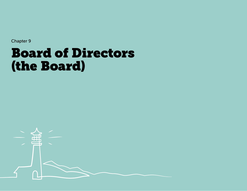# <span id="page-37-0"></span>Board of Directors (the Board)

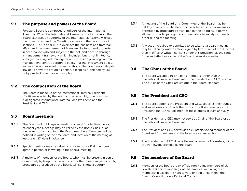## <span id="page-38-0"></span>9.1 The purpose and powers of the Board

 Foresters Board is composed of officers of the International Assembly. When the International Assembly is not in session, the Board exercises all authority of the International Assembly, except the power to amend the Constitution beyond the provisions of sections 8.14.6 and 8.14.7. It oversees the business and fraternal affairs and the management of Foresters, its funds and property, in accordance with and subject to the Act, and does so through a management framework which includes, but is not limited to, strategic planning, risk management, succession planning, internal management control, corporate policy-making, investment policy, and internal and external communications. The Board may delegate any of its power to act on its behalf, except as prohibited by law or by prudent governance principles.

## <span id="page-38-1"></span>9.2 The composition of the Board

 The Board is made up of the International Fraternal President, 13 officers elected by the International Assembly, one of whom is designated International Fraternal Vice President, and the President and CEO.

### <span id="page-38-2"></span>9.3 Board meetings

- **9.3.1** The Board will hold regular meetings at least four (4) times in each calendar year. Meetings may be called by the Board Chair, or at the request of a majority of the Board members. Members will be notified in writing of the time, date, and location of the meeting at least seven (7) days in advance.
- 9.3.2 Special meetings may be called on shorter notice if all members agree in person or in writing to the special meeting.
- **9.3.3** A majority of members of the Board, who must be present in person or remotely by telephonic, electronic or other means as permitted by procedures prescribed by the Board, will constitute a quorum.
- 9.3.4 A meeting of the Board or a Committee of the Board may be held by means of such telephonic, electronic or other means as permitted by procedures prescribed by the Board as to permit all persons participating to communicate adequately with each other during the meeting.
- **9.3.5** Any action required or permitted to be taken at a board meeting may be taken by written action signed by two-thirds of the directors then in office. A written consent under this provision has the same force and effect as a vote of the Board taken at a meeting.

### <span id="page-38-3"></span>9.4 The Chair of the Board

 The Board will appoint one of its members, other than the International Fraternal President or the President and CEO, as Chair. The duties of the Chair are set out in the Board Mandate.

## <span id="page-38-4"></span>9.5 The President and CEO

- **9.5.1** The Board appoints the President and CEO, specifies their duties, and supervises and directs their work. The Board evaluates the President and CEO's fulfillment of these duties at least annually.
- **9.5.2** The President and CEO may not serve as Chair of the Board or as International Fraternal President.
- **9.5.3** The President and CEO serves as an ex officio voting member of the Board and Committees and the International Assembly.
- 9.5.4 The President and CEO directs the management of Foresters, within the framework provided by the Board.

### <span id="page-38-5"></span>9.6 The members of the Board

**9.6.1** Members of the Board are ex officio non-voting members of all Foresters Branches and Regional Assemblies, with all rights of membership except the right to vote or hold office within the Branch Council or on a Regional Council.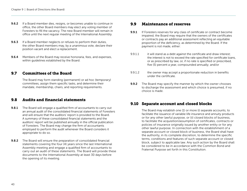- **9.6.2** If a Board member dies, resigns, or becomes unable to continue in office, the other Board members may elect any voting member of Foresters to fill the vacancy. The new Board member will remain in office until the next regular meeting of the International Assembly.
- **9.6.3** If a Board member neglects or refuses to perform their duties, the other Board members may, by a unanimous vote, declare their position vacant and elect a replacement.
- **9.6.4** Members of the Board may receive honoraria, fees, and expenses, within guidelines established by the Board.

## <span id="page-39-0"></span>9.7 Committees of the Board

 The Board may form standing (permanent) or ad hoc (temporary) committees, assign them specific tasks, and determine their mandate, membership, chairs, and reporting requirements.

## <span id="page-39-1"></span>9.8 Audits and financial statements

- **9.8.1** The Board will engage a qualified firm of accountants to carry out an annual audit of the consolidated financial statements of Foresters and will ensure that the auditors' report is provided to the Board. A summary of these consolidated financial statements and the auditors' report will be published annually in the official publication of Foresters. The Board may change the firm of accountants employed to perform the audit whenever the Board considers it appropriate to do so.
- **9.8.2** The Board will ensure the preparation of consolidated financial statements covering the four (4) years since the last International Assembly meeting and engage a qualified firm of accountants to carry out an audit of these statements. The Board will provide these documents to the International Assembly at least 30 days before the opening of its meeting.

## <span id="page-39-2"></span>9.9 Maintenance of reserves

- **9.9.1** If Foresters reserves for any class of certificate or contract become impaired, the Board may require that the owners of the certificates or contracts pay an additional assessment reflecting an equitable proportion of the deficiency, as determined by the Board. If the payment is not made, either:
- 9.9.1.1 it will stand as a debt against the certificate and draw interest; the interest is not to exceed the rate specified for certificate loans, or as prescribed by law, or, if no rate is specified or prescribed, five (5) percent a year, compounded annually; and/or
- 9.9.1.2 the owner may accept a proportionate reduction in benefits under the certificate.
- **9.9.2** The Board may specify the manner by which the owner chooses to discharge the assessment and which choice is presumed, if no choice is made.

# <span id="page-39-3"></span>9.10 Separate account and closed blocks

 The Board may establish one (1) or more (i) separate accounts, to facilitate the issuance of variable life insurance and annuity products or for any other lawful purpose, or (ii) closed blocks of business, to facilitate the acquisition/assumption of certificates, contracts or policies of insurance originally issued by another entity or for any other lawful purpose. In connection with the establishment of a separate account or closed block of business, the Board shall have the authority, in its complete discretion, to determine the specific terms, conditions and features of such separate account or closed block, subject to applicable law. Any such action by the Board shall be considered to be in accordance with the Common Bond and Fraternal Purpose set forth in this Constitution.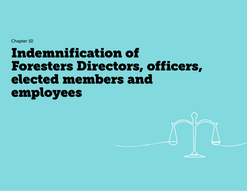# <span id="page-40-0"></span>Indemnification of Foresters Directors, officers, elected members and employees

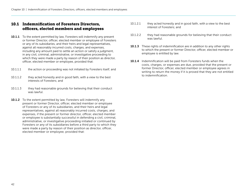## <span id="page-41-0"></span>10.1 Indemnification of Foresters Directors, officers, elected members and employees

- **10.1.1** To the extent permitted by law, Foresters will indemnify any present or former Director, officer, elected member or employee of Foresters or any of its subsidiaries, and their heirs and legal representatives, against all reasonably incurred costs, charges, and expenses, including any amount paid to settle an action or satisfy a judgment, in any civil, criminal, administrative, or investigative proceeding to which they were made a party by reason of their position as director, officer, elected member or employee, provided that:
- 10.1.1.1 the action or proceeding was not initiated by Foresters itself; and
- 10.1.1.2 they acted honestly and in good faith, with a view to the best interests of Foresters; and
- 10.1.1.3 they had reasonable grounds for believing that their conduct was lawful.
- 10.1.2 To the extent permitted by law, Foresters will indemnify any present or former Director, officer, elected member or employee of Foresters or any of its subsidiaries, and their heirs and legal representatives, against all reasonably incurred costs, charges, and expenses, if the present or former director, officer, elected member or employee is substantially successful in defending a civil, criminal, administrative, or investigative proceeding initiated or continued by Foresters or any of its subsidiaries before a third party to which they were made a party by reason of their position as director, officer, elected member or employee, provided that:
- 10.1.2.1 they acted honestly and in good faith, with a view to the best interest of Foresters; and
- 10.1.2.2 they had reasonable grounds for believing that their conduct was lawful.
- **10.1.3** These rights of indemnification are in addition to any other rights to which the present or former Director, officer, elected member or employee is entitled by law.
- 10.1.4 Indemnification will be paid from Foresters funds when the costs, charges, or expenses are due, provided that the present or former Director, officer, elected member or employee agrees in writing to return the money if it is proved that they are not entitled to indemnification.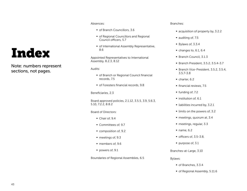# <span id="page-42-0"></span>Index

Note: numbers represent sections, not pages.

#### Absences:

- **of Branch Councillors, 3.6**
- **of Regional Councillors and Regional** Council officers, 5.7
- **of International Assembly Representative,** 8.6

Appointed Representatives to International Assembly, 8.2.3, 8.12

Audits:

- **of Branch or Regional Council financial** records, 7.5
- of Foresters financial records, 9.8

Beneficiaries, 2.3

Board approved policies, 2.1.12, 3.5.5, 3.9, 5.6.3, 5.10, 7.2.2, 8.8.2

Board of Directors:

- Chair of, 9.4
- Committees of, 9.7
- composition of, 9.2
- meetings of, 9.3
- members of, 9.6
- **P** powers of, 9.1

Boundaries of Regional Assemblies, 6.5

Branches:

- acquisition of property by, 3.2.2
- $\blacksquare$  auditing of, 7.5
- Bylaws of, 3.3.4
- $\blacksquare$  changes to, 6.1, 6.4
- Branch Council, 3.1.3
- Branch President,  $3.5.2$ ,  $3.5.4 3.7$
- Branch Vice-President, 3.5.2, 3.5.4, 3.5.7-3.8
- charter, 6.2
- financial reviews, 7.5
- funding of, 7.2
- **institution of, 6.1**
- $\blacksquare$  liabilities incurred by, 3.2.1
- $\blacksquare$  limits on the powers of, 3.2
- meetings, quorum at, 3.4
- meetings, regular, 3.3
- $n$ name, 6.2
- $\blacksquare$  officers of, 3.5-3.8,
- **purpose of, 3.1**
- Branches-at-Large, 3.10

#### Bylaws:

- of Branches, 3.3.4
- of Regional Assembly, 5.11.6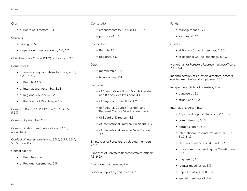#### Chair:

 of Board of Directors, 9.4

#### Charters:

- $\blacksquare$  issuing of, 6.2
- suspension or revocation of, 6.6, 6.7

Chief Executive Officer (CEO) of Foresters, 9.5

#### Committees:

- $\blacksquare$  for nominating candidates to office, 4.1.5, 4.2.2, 4.3.3
- $\blacksquare$  of Branch, 4.1.5
- of International Assembly, 8.13
- of Regional Council, 4.2.2
- of the Board of Directors, 4.3.3

Common Bond, 1.1, 2.1.12, 2.4.3, 3.1, 3.5.5, 5.6.3

Community Member, 2.1

Communications and publications, 2.1.10, 3.2.3, 5.3.3

Conflict of interest provisions, 3.5.6, 3.5.7, 5.6.4, 5.6.5, 8.7.4, 8.7.5

#### Consolidation:

- of Branches, 6.4
- of Regional Assemblies, 6.5

#### Constitution:

- amendments to, 1.3.5, 8.14, 8.1, 9.1
- purpose of, 1.3

#### Councillors:

- $\blacksquare$  Branch, 3.5
- Regional, 5.6

#### Dues:

- membership, 2.2
- $\blacksquare$  failure to pay, 2.4

#### Elections:

- **of Branch Councillors, Branch President** and Branch Vice President, 4.1
- of Regional Councillors, 4.2
- of Regional Council President and Regional Council Vice President, 4.2
- of Board of Directors, 4.3
- of International Fraternal President, 4.3
- **of International Fraternal Vice President,** 4.3

Employees of Foresters, as elected members, 2.1.7

Expenses of Foresters Representatives/officers, 7.3, 9.6.4

Expulsion of a member, 2.4

Financial reporting and reviews, 7.5

Funds:

- management of, 7.1
- sources of, 7.2

#### Guests:

- at Branch Council meetings, 3.3.3
- at Regional Council meetings, 5.4.3

Honoraria, for Foresters Representatives/officers, 7.3, 9.6.4

Indemnification of Foresters directors, officers, elected members and employees, 10.1

#### Independent Order of Foresters, The:

- purpose of, 1.1
- structure of, 1.2

International Assembly:

- Appointed Representatives, 8.2.3, 8.12
- **Committees of, 8.13**
- composition of, 8.2
- **International Fraternal President, 8.8, 8.10,** 8.12, 8.13
- election of officers of, 4.3, 4.4, 8.7
- **procedure for amending the Constitution,** 8.14
- **purpose of, 8.1**
- $\blacksquare$  regular meetings of, 8.3
- Representatives to, 8.5, 8.6
- special meetings of, 8.4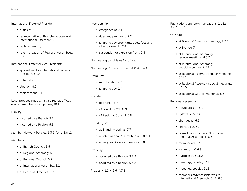International Fraternal President:

- duties of, 8.8
- **P** representative of Branches-at-large at International Assembly, 3.10
- replacement of, 8.10
- role in creation of Regional Assemblies, 6.3

International Fraternal Vice President:

- **appointment as International Fraternal** President, 8.10
- duties, 8.9
- election, 8.9
- per replacement, 8.11

Legal proceedings against a director, officer, elected member, or employee, 10.1

Liability:

- incurred by a Branch, 3.2
- $\blacksquare$  incurred by a Region, 5.3

Member Network Policies, 1.3.6, 7.4.1, 8.8.12

#### Members:

- of Branch Council, 3.5
- of Regional Assembly, 5.6
- of Regional Council, 5.2
- of International Assembly, 8.2
- of Board of Directors, 9.2

#### Membership:

- categories of, 2.1
- dues and premiums, 2.2
- failure to pay premiums, dues, fees and other payments, 2.4
- suspension or expulsion from, 2.4

Nominating candidates for office, 4.1

Nominating Committees, 4.1, 4.2, 4.3, 4.4

#### Premiums:

- membership, 2.2
- failure to pay, 2.4

#### President:

- of Branch, 3.7
- of Foresters (CEO), 9.5
- of Regional Council, 5.8

#### Presiding officer:

- at Branch meetings, 3.7
- at International Assembly, 4.3.6, 8.3.4
- at Regional Council meetings, 5.8

#### Property:

- acquired by a Branch, 3.2.2
- acquired by a Region, 5.3.2

#### Proxies, 4.1.2, 4.2.6, 4.3.2

Publications and communications, 2.1.12, 3.2.3, 5.3.3

#### Quorum:

- at Board of Directors meetings, 9.3.3
- at Branch, 3.4
- **at International Assembly** regular meetings, 8.3.2
- **at International Assembly,** special meetings, 8.4.5
- **at Regional Assembly regular meetings,** 5.11.8
- at Regional Assembly special meetings, 5.13.5
- at Regional Council meetings, 5.5

Regional Assembly:

- **boundaries of, 5.1**
- $\blacksquare$  Bylaws of, 5.11.6
- changes to, 6.5
- $\blacksquare$  charter, 6.2, 6.7
- **Consolidation of two (2) or more** Regional Assemblies, 6.5
- members of, 5.12
- $\blacksquare$  institution of, 6.3
- purpose of, 5.11.2
- meetings, regular, 5.11
- meetings, special, 5.13
- members of/representatives to International Assembly, 5.12, 8.5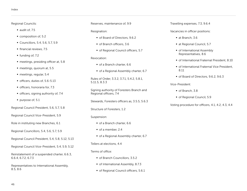#### Regional Councils:

- $\blacksquare$  audit of, 7.5
- composition of, 5.2
- Councillors, 5.4, 5.6, 5.7, 5.9
- $\blacksquare$  financial reviews, 7.5
- $\blacksquare$  funding of, 7.2
- $\blacksquare$  meetings, presiding officer at, 5.8
- meetings, quorum at, 5.5
- meetings, regular, 5.4
- officers, duties of, 5.6-5.13
- officers, honoraria for, 7.3
- officers, signing authority of, 7.4
- purpose of, 5.1

Regional Council President, 5.6, 5.7, 5.8

Regional Council Vice-President, 5.9

Role in instituting new Branches, 6.1

Regional Councillors, 5.4, 5.6, 5.7, 5.9

Regional Council President, 5.4, 5.8, 5.12, 5.13

Regional Council Vice-President, 5.4, 5.9, 5.12

Reinstatement of a suspended charter, 6.6.3, 6.6.4, 6.7.2, 6.7.3

Representatives to International Assembly, 8.5, 8.6

Reserves, maintenance of, 9.9

#### Resignation:

- of Board of Directors, 9.6.2
- of Branch officers, 3.6
- of Regional Council officers, 5.7

#### Revocation:

- of a Branch charter, 6.6
- of a Regional Assembly charter, 6.7

Rules of Order, 3.3.2, 3.7.1, 5.4.2, 5.8.1, 5.11.5, 8.3.3

Signing authority of Foresters Branch and Regional officers, 7.4

Stewards, Foresters officers as, 3.5.5, 5.6.3

Structure of Foresters, 1.2

#### Suspension:

- of a Branch charter, 6.6
- of a member, 2.4
- of a Regional Assembly charter, 6.7

#### Tellers at elections, 4.4

Terms of office:

- of Branch Councillors, 3.5.2
- of International Assembly, 8.7.3
- of Regional Council officers, 5.6.1

Travelling expenses, 7.3, 9.6.4

Vacancies in officer positions:

- at Branch, 3.6
- at Regional Council, 5.7
- **of International Assembly** Representatives, 8.6
- of International Fraternal President, 8.10
- of International Fraternal Vice President, 8.11
- of Board of Directors, 9.6.2, 9.6.3

Vice-President:

- of Branch, 3.8
- of Regional Council, 5.9

Voting procedure for officers, 4.1, 4.2, 4.3, 4.4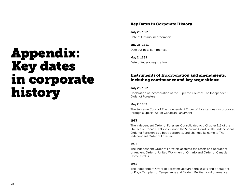# <span id="page-46-1"></span><span id="page-46-0"></span>Appendix: Key dates in corporate history

# Key Dates in Corporate History

July 23, 1881[²](#page-47-0) Date of Ontario Incorporation

July 23, 1881 Date business commenced

May 2, 1889 Date of federal registration

# Instruments of Incorporation and amendments, including continuance and key acquisitions:

#### July 23, 1881

Declaration of Incorporation of the Supreme Court of The Independent Order of Foresters

#### May 2, 1889

The Supreme Court of The Independent Order of Foresters was incorporated through a Special Act of Canadian Parliament

#### 1913

The Independent Order of Foresters Consolidated Act, Chapter 113 of the Statutes of Canada, 1913, continued the Supreme Court of The Independent Order of Foresters as a body corporate, and changed its name to The Independent Order of Foresters

#### 1926

The Independent Order of Foresters acquired the assets and operations of Ancient Order of United Workmen of Ontario and Order of Canadian Home Circles

#### 1931

The Independent Order of Foresters acquired the assets and operations of Royal Templars of Temperance and Modern Brotherhood of America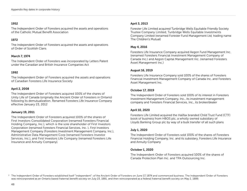#### <span id="page-47-0"></span>1952

The Independent Order of Foresters acquired the assets and operations of the Catholic Mutual Benefit Association

#### 1972

The Independent Order of Foresters acquired the assets and operations of Order of Scottish Clans

#### March 7, 1974

The Independent Order of Foresters was incorporated by Letters Patent under the Canadian and British Insurance Companies Act

#### 1992

The Independent Order of Foresters acquired the assets and operations of Canadian Foresters Life Insurance Society

#### April 2, 2008

The Independent Order of Foresters acquired 100% of the shares of Unity Life of Canada (originally the Ancient Order of Foresters in Ontario) following its demutualization. Renamed Foresters Life Insurance Company effective January 23, 2012

#### January 19, 2011

The Independent Order of Foresters acquired 100% of the shares of First Investors Consolidated Corporation (renamed Foresters Financial Holding Company, Inc.), which is the sole shareholder of First Investors Corporation (renamed Foresters Financial Services, Inc. ), First Investors Management Company (Foresters Investment Management Company, Inc.), Administrative Data Management Corp (renamed Foresters Investor Services, Inc.), and First Investors Life Company (renamed Foresters Life Insurance and Annuity Company).

#### April 3, 2013

Forester Life Limited acquired Tunbridge Wells Equitable Friendly Society Trustee Company Limited; Tunbridge Wells Equitable Investments Company Limited (renamed Forester Fund Management Ltd, trading name The Children's Mutual)

#### May 4, 2016

Foresters Life Insurance Company acquired Aegon Fund Management Inc. (renamed Foresters Financial Investment Management Company of Canada Inc.) and Aegon Capital Management Inc. (renamed Foresters Asset Management Inc.)

#### August 16, 2019

Foresters Life Insurance Company sold 100% of the shares of Foresters Financial Investment Management Company of Canada Inc. and Foresters Asset Management Inc.

#### October 17, 2019

The Independent Order of Foresters sold 100% of its interest in Foresters Investment Management Company, Inc., its investment management company and Foresters Financial Services, Inc., its broker/dealer

#### April 10, 2020

Foresters Life Limited acquired the Halifax branded Child Trust Fund (CTF) book of business from HBOS plc, a wholly owned subsidiary of Lloyds Banking Group plc by way of a bulk transfer of all such plans

#### July 1, 2020

The Independent Order of Foresters sold 100% of the shares of Foresters Financial Holding Company, Inc. and its subsidary, Foresters Life Insurance and Annuity Company

#### October 1, 2020

The Independent Order of Foresters acquired 100% of the shares of Canada Protection Plan Inc. and TPA Outsourcing Inc.

<sup>[2](#page-46-1)</sup> The Independent Order of Foresters established itself "independent": of the Ancient Order of Foresters on June 17, 1874 and commenced business. The Independent Order of Foresters was reincorporated as an Ontario based fraternal benefit society on July 23, 1881, and then reincorporated as a federal fraternal benefit society on May 2, 1889.